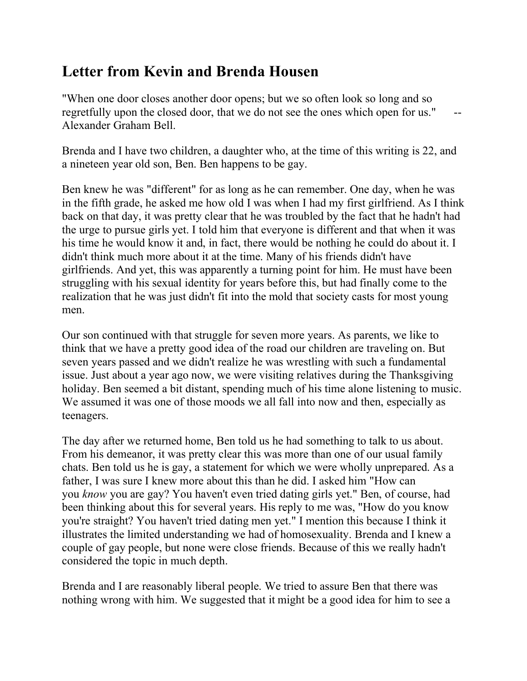## **Letter from Kevin and Brenda Housen**

"When one door closes another door opens; but we so often look so long and so regretfully upon the closed door, that we do not see the ones which open for us." Alexander Graham Bell.

Brenda and I have two children, a daughter who, at the time of this writing is 22, and a nineteen year old son, Ben. Ben happens to be gay.

Ben knew he was "different" for as long as he can remember. One day, when he was in the fifth grade, he asked me how old I was when I had my first girlfriend. As I think back on that day, it was pretty clear that he was troubled by the fact that he hadn't had the urge to pursue girls yet. I told him that everyone is different and that when it was his time he would know it and, in fact, there would be nothing he could do about it. I didn't think much more about it at the time. Many of his friends didn't have girlfriends. And yet, this was apparently a turning point for him. He must have been struggling with his sexual identity for years before this, but had finally come to the realization that he was just didn't fit into the mold that society casts for most young men.

Our son continued with that struggle for seven more years. As parents, we like to think that we have a pretty good idea of the road our children are traveling on. But seven years passed and we didn't realize he was wrestling with such a fundamental issue. Just about a year ago now, we were visiting relatives during the Thanksgiving holiday. Ben seemed a bit distant, spending much of his time alone listening to music. We assumed it was one of those moods we all fall into now and then, especially as teenagers.

The day after we returned home, Ben told us he had something to talk to us about. From his demeanor, it was pretty clear this was more than one of our usual family chats. Ben told us he is gay, a statement for which we were wholly unprepared. As a father, I was sure I knew more about this than he did. I asked him "How can you *know* you are gay? You haven't even tried dating girls yet." Ben, of course, had been thinking about this for several years. His reply to me was, "How do you know you're straight? You haven't tried dating men yet." I mention this because I think it illustrates the limited understanding we had of homosexuality. Brenda and I knew a couple of gay people, but none were close friends. Because of this we really hadn't considered the topic in much depth.

Brenda and I are reasonably liberal people. We tried to assure Ben that there was nothing wrong with him. We suggested that it might be a good idea for him to see a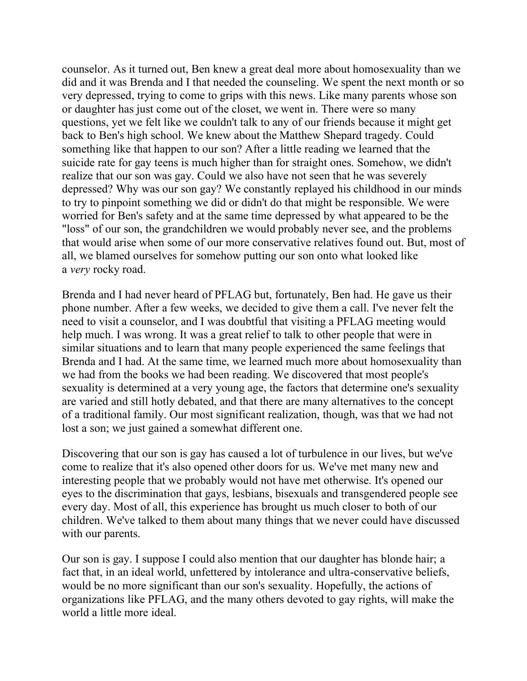counselor. As it turned out, Ben knew a great deal more about homosexuality than we did and it was Brenda and I that needed the counseling. We spent the next month or so very depressed, trying to come to grips with this news. Like many parents whose son or daughter has just come out of the closet, we went in. There were so many questions, yet we felt like we couldn't talk to any of our friends because it might get back to Ben's high school. We knew about the Matthew Shepard tragedy. Could something like that happen to our son? After a little reading we learned that the suicide rate for gay teens is much higher than for straight ones. Somehow, we didn't realize that our son was gay. Could we also have not seen that he was severely depressed? Why was our son gay? We constantly replayed his childhood in our minds to try to pinpoint something we did or didn't do that might be responsible. We were worried for Ben's safety and at the same time depressed by what appeared to be the "loss" of our son, the grandchildren we would probably never see, and the problems that would arise when some of our more conservative relatives found out. But, most of all, we blamed ourselves for somehow putting our son onto what looked like a *very* rocky road.

Brenda and I had never heard of PFLAG but, fortunately, Ben had. He gave us their phone number. After a few weeks, we decided to give them a call. I've never felt the need to visit a counselor, and I was doubtful that visiting a PFLAG meeting would help much. I was wrong. It was a great relief to talk to other people that were in similar situations and to learn that many people experienced the same feelings that Brenda and I had. At the same time, we learned much more about homosexuality than we had from the books we had been reading. We discovered that most people's sexuality is determined at a very young age, the factors that determine one's sexuality are varied and still hotly debated, and that there are many alternatives to the concept of a traditional family. Our most significant realization, though, was that we had not lost a son; we just gained a somewhat different one.

Discovering that our son is gay has caused a lot of turbulence in our lives, but we've come to realize that it's also opened other doors for us. We've met many new and interesting people that we probably would not have met otherwise. It's opened our eyes to the discrimination that gays, lesbians, bisexuals and transgendered people see every day. Most of all, this experience has brought us much closer to both of our children. We've talked to them about many things that we never could have discussed with our parents.

Our son is gay. I suppose I could also mention that our daughter has blonde hair; a fact that, in an ideal world, unfettered by intolerance and ultra-conservative beliefs, would be no more significant than our son's sexuality. Hopefully, the actions of organizations like PFLAG, and the many others devoted to gay rights, will make the world a little more ideal.